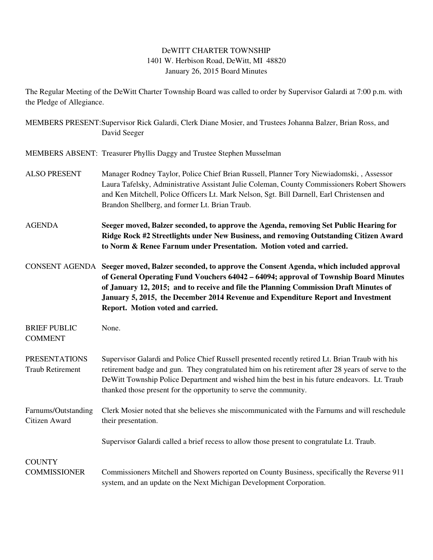## DeWITT CHARTER TOWNSHIP 1401 W. Herbison Road, DeWitt, MI 48820 January 26, 2015 Board Minutes

The Regular Meeting of the DeWitt Charter Township Board was called to order by Supervisor Galardi at 7:00 p.m. with the Pledge of Allegiance.

MEMBERS PRESENT:Supervisor Rick Galardi, Clerk Diane Mosier, and Trustees Johanna Balzer, Brian Ross, and David Seeger MEMBERS ABSENT: Treasurer Phyllis Daggy and Trustee Stephen Musselman ALSO PRESENT Manager Rodney Taylor, Police Chief Brian Russell, Planner Tory Niewiadomski, , Assessor Laura Tafelsky, Administrative Assistant Julie Coleman, County Commissioners Robert Showers and Ken Mitchell, Police Officers Lt. Mark Nelson, Sgt. Bill Darnell, Earl Christensen and Brandon Shellberg, and former Lt. Brian Traub. AGENDA **Seeger moved, Balzer seconded, to approve the Agenda, removing Set Public Hearing for Ridge Rock #2 Streetlights under New Business, and removing Outstanding Citizen Award to Norm & Renee Farnum under Presentation. Motion voted and carried.**  CONSENT AGENDA **Seeger moved, Balzer seconded, to approve the Consent Agenda, which included approval of General Operating Fund Vouchers 64042 – 64094; approval of Township Board Minutes of January 12, 2015; and to receive and file the Planning Commission Draft Minutes of January 5, 2015, the December 2014 Revenue and Expenditure Report and Investment Report. Motion voted and carried.**  BRIEF PUBLIC None. COMMENT PRESENTATIONS Supervisor Galardi and Police Chief Russell presented recently retired Lt. Brian Traub with his Traub Retirement retirement badge and gun. They congratulated him on his retirement after 28 years of serve to the DeWitt Township Police Department and wished him the best in his future endeavors. Lt. Traub thanked those present for the opportunity to serve the community. Farnums/Outstanding Clerk Mosier noted that she believes she miscommunicated with the Farnums and will reschedule Citizen Award their presentation. Supervisor Galardi called a brief recess to allow those present to congratulate Lt. Traub. **COUNTY** COMMISSIONER Commissioners Mitchell and Showers reported on County Business, specifically the Reverse 911 system, and an update on the Next Michigan Development Corporation.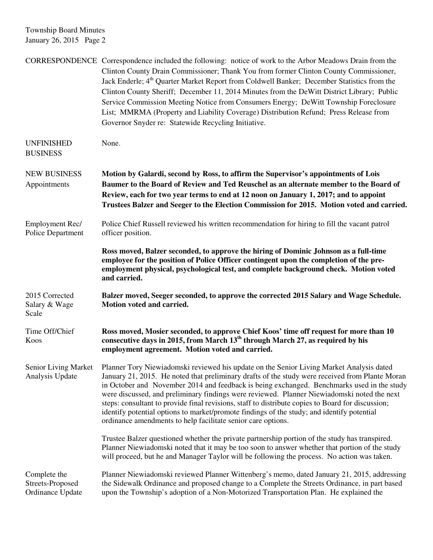Township Board Minutes January 26, 2015 Page 2

|                                                      | CORRESPONDENCE Correspondence included the following: notice of work to the Arbor Meadows Drain from the<br>Clinton County Drain Commissioner; Thank You from former Clinton County Commissioner,<br>Jack Enderle; 4 <sup>th</sup> Quarter Market Report from Coldwell Banker; December Statistics from the<br>Clinton County Sheriff; December 11, 2014 Minutes from the DeWitt District Library; Public<br>Service Commission Meeting Notice from Consumers Energy; DeWitt Township Foreclosure<br>List; MMRMA (Property and Liability Coverage) Distribution Refund; Press Release from<br>Governor Snyder re: Statewide Recycling Initiative.           |
|------------------------------------------------------|-------------------------------------------------------------------------------------------------------------------------------------------------------------------------------------------------------------------------------------------------------------------------------------------------------------------------------------------------------------------------------------------------------------------------------------------------------------------------------------------------------------------------------------------------------------------------------------------------------------------------------------------------------------|
| <b>UNFINISHED</b><br><b>BUSINESS</b>                 | None.                                                                                                                                                                                                                                                                                                                                                                                                                                                                                                                                                                                                                                                       |
| <b>NEW BUSINESS</b><br>Appointments                  | Motion by Galardi, second by Ross, to affirm the Supervisor's appointments of Lois<br>Baumer to the Board of Review and Ted Reuschel as an alternate member to the Board of<br>Review, each for two year terms to end at 12 noon on January 1, 2017; and to appoint<br>Trustees Balzer and Seeger to the Election Commission for 2015. Motion voted and carried.                                                                                                                                                                                                                                                                                            |
| Employment Rec/<br>Police Department                 | Police Chief Russell reviewed his written recommendation for hiring to fill the vacant patrol<br>officer position.                                                                                                                                                                                                                                                                                                                                                                                                                                                                                                                                          |
|                                                      | Ross moved, Balzer seconded, to approve the hiring of Dominic Johnson as a full-time<br>employee for the position of Police Officer contingent upon the completion of the pre-<br>employment physical, psychological test, and complete background check. Motion voted<br>and carried.                                                                                                                                                                                                                                                                                                                                                                      |
| 2015 Corrected<br>Salary & Wage<br>Scale             | Balzer moved, Seeger seconded, to approve the corrected 2015 Salary and Wage Schedule.<br>Motion voted and carried.                                                                                                                                                                                                                                                                                                                                                                                                                                                                                                                                         |
| Time Off/Chief<br>Koos                               | Ross moved, Mosier seconded, to approve Chief Koos' time off request for more than 10<br>consecutive days in 2015, from March 13 <sup>th</sup> through March 27, as required by his<br>employment agreement. Motion voted and carried.                                                                                                                                                                                                                                                                                                                                                                                                                      |
| Senior Living Market<br>Analysis Update              | Planner Tory Niewiadomski reviewed his update on the Senior Living Market Analysis dated<br>January 21, 2015. He noted that preliminary drafts of the study were received from Plante Moran<br>in October and November 2014 and feedback is being exchanged. Benchmarks used in the study<br>were discussed, and preliminary findings were reviewed. Planner Niewiadomski noted the next<br>steps: consultant to provide final revisions, staff to distribute copies to Board for discussion;<br>identify potential options to market/promote findings of the study; and identify potential<br>ordinance amendments to help facilitate senior care options. |
|                                                      | Trustee Balzer questioned whether the private partnership portion of the study has transpired.<br>Planner Niewiadomski noted that it may be too soon to answer whether that portion of the study<br>will proceed, but he and Manager Taylor will be following the process. No action was taken.                                                                                                                                                                                                                                                                                                                                                             |
| Complete the<br>Streets-Proposed<br>Ordinance Update | Planner Niewiadomski reviewed Planner Wittenberg's memo, dated January 21, 2015, addressing<br>the Sidewalk Ordinance and proposed change to a Complete the Streets Ordinance, in part based<br>upon the Township's adoption of a Non-Motorized Transportation Plan. He explained the                                                                                                                                                                                                                                                                                                                                                                       |